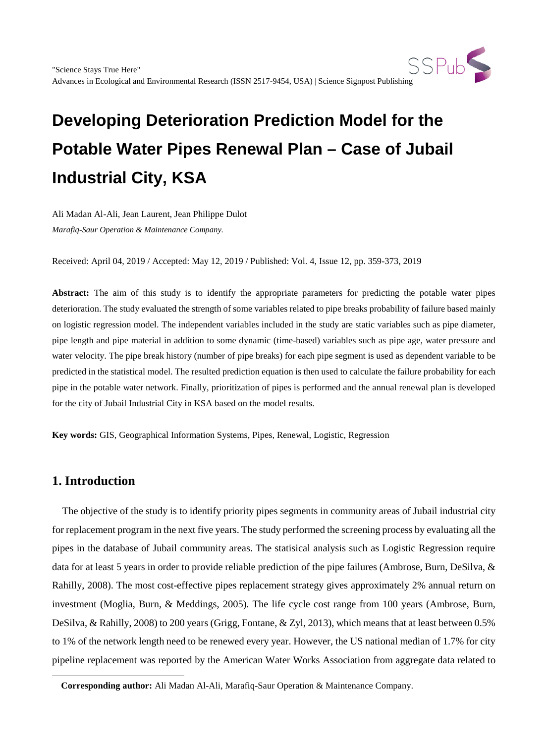Ali Madan Al-Ali, Jean Laurent, Jean Philippe Dulot *Marafiq-Saur Operation & Maintenance Company.*

Received: April 04, 2019 / Accepted: May 12, 2019 / Published: Vol. 4, Issue 12, pp. 359-373, 2019

**Abstract:** The aim of this study is to identify the appropriate parameters for predicting the potable water pipes deterioration. The study evaluated the strength of some variables related to pipe breaks probability of failure based mainly on logistic regression model. The independent variables included in the study are static variables such as pipe diameter, pipe length and pipe material in addition to some dynamic (time-based) variables such as pipe age, water pressure and water velocity. The pipe break history (number of pipe breaks) for each pipe segment is used as dependent variable to be predicted in the statistical model. The resulted prediction equation is then used to calculate the failure probability for each pipe in the potable water network. Finally, prioritization of pipes is performed and the annual renewal plan is developed for the city of Jubail Industrial City in KSA based on the model results.

**Key words:** GIS, Geographical Information Systems, Pipes, Renewal, Logistic, Regression

# **1. Introduction**

<span id="page-0-0"></span>-

The objective of the study is to identify priority pipes segments in community areas of Jubail industrial city for replacement program in the next five years. The study performed the screening process by evaluating all the pipes in the database of Jubail community areas. The statisical analysis such as Logistic Regression require data for at least 5 years in order to provide reliable prediction of the pipe failures (Ambrose, Burn, DeSilva, & Rahilly, 2008). The most cost-effective pipes replacement strategy gives approximately 2% annual return on investment (Moglia, Burn, & Meddings, 2005). The life cycle cost range from 100 years (Ambrose, Burn, DeSilva, & Rahilly, 2008) to 200 years (Grigg, Fontane, & Zyl, 2013), which means that at least between 0.5% to 1% of the network length need to be renewed every year. However, the US national median of 1.7% for city pipeline replacement was reported by the American Water Works Association from aggregate data related to

**Corresponding author:** Ali Madan Al-Ali, Marafiq-Saur Operation & Maintenance Company.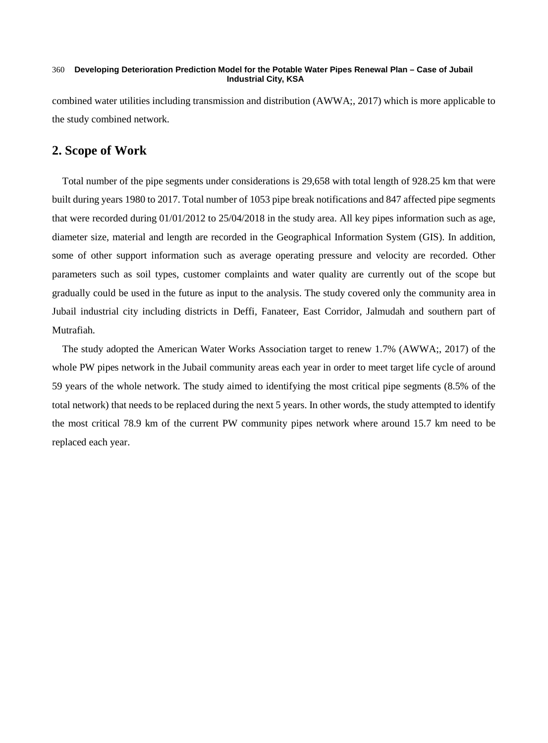combined water utilities including transmission and distribution (AWWA;, 2017) which is more applicable to the study combined network.

# **2. Scope of Work**

Total number of the pipe segments under considerations is 29,658 with total length of 928.25 km that were built during years 1980 to 2017. Total number of 1053 pipe break notifications and 847 affected pipe segments that were recorded during 01/01/2012 to 25/04/2018 in the study area. All key pipes information such as age, diameter size, material and length are recorded in the Geographical Information System (GIS). In addition, some of other support information such as average operating pressure and velocity are recorded. Other parameters such as soil types, customer complaints and water quality are currently out of the scope but gradually could be used in the future as input to the analysis. The study covered only the community area in Jubail industrial city including districts in Deffi, Fanateer, East Corridor, Jalmudah and southern part of Mutrafiah.

The study adopted the American Water Works Association target to renew 1.7% (AWWA;, 2017) of the whole PW pipes network in the Jubail community areas each year in order to meet target life cycle of around 59 years of the whole network. The study aimed to identifying the most critical pipe segments (8.5% of the total network) that needs to be replaced during the next 5 years. In other words, the study attempted to identify the most critical 78.9 km of the current PW community pipes network where around 15.7 km need to be replaced each year.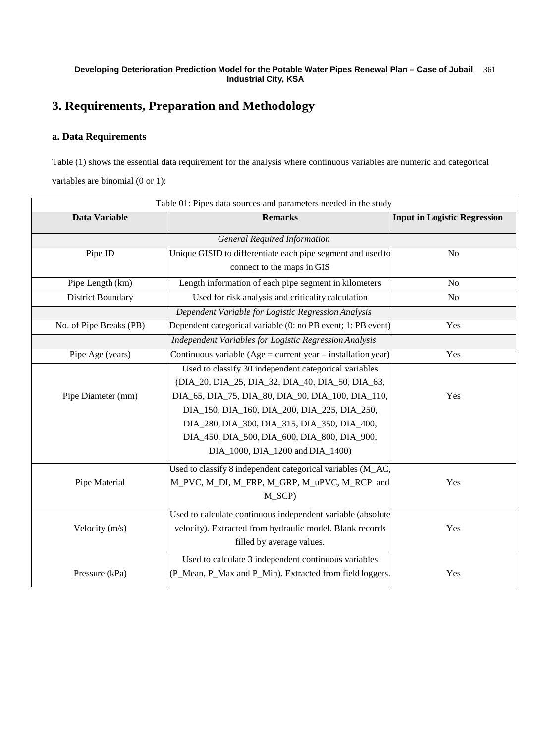# **3. Requirements, Preparation and Methodology**

### **a. Data Requirements**

Table (1) shows the essential data requirement for the analysis where continuous variables are numeric and categorical variables are binomial (0 or 1):

| Table 01: Pipes data sources and parameters needed in the study |                                                              |                                     |  |  |  |
|-----------------------------------------------------------------|--------------------------------------------------------------|-------------------------------------|--|--|--|
| Data Variable                                                   | <b>Remarks</b>                                               | <b>Input in Logistic Regression</b> |  |  |  |
| <b>General Required Information</b>                             |                                                              |                                     |  |  |  |
| Pipe ID                                                         | Unique GISID to differentiate each pipe segment and used to  |                                     |  |  |  |
|                                                                 | connect to the maps in GIS                                   |                                     |  |  |  |
| Pipe Length (km)                                                | Length information of each pipe segment in kilometers        | No                                  |  |  |  |
| <b>District Boundary</b>                                        | Used for risk analysis and criticality calculation           | No                                  |  |  |  |
|                                                                 | Dependent Variable for Logistic Regression Analysis          |                                     |  |  |  |
| No. of Pipe Breaks (PB)                                         | Dependent categorical variable (0: no PB event; 1: PB event) | Yes                                 |  |  |  |
|                                                                 | Independent Variables for Logistic Regression Analysis       |                                     |  |  |  |
| Pipe Age (years)                                                | Continuous variable (Age = current year – installation year) | Yes                                 |  |  |  |
|                                                                 | Used to classify 30 independent categorical variables        |                                     |  |  |  |
|                                                                 | (DIA_20, DIA_25, DIA_32, DIA_40, DIA_50, DIA_63,             |                                     |  |  |  |
| Pipe Diameter (mm)                                              | DIA_65, DIA_75, DIA_80, DIA_90, DIA_100, DIA_110,            | Yes                                 |  |  |  |
|                                                                 | DIA_150, DIA_160, DIA_200, DIA_225, DIA_250,                 |                                     |  |  |  |
|                                                                 | DIA_280, DIA_300, DIA_315, DIA_350, DIA_400,                 |                                     |  |  |  |
|                                                                 | DIA_450, DIA_500, DIA_600, DIA_800, DIA_900,                 |                                     |  |  |  |
|                                                                 | DIA_1000, DIA_1200 and DIA_1400)                             |                                     |  |  |  |
|                                                                 | Used to classify 8 independent categorical variables (M_AC,  |                                     |  |  |  |
| Pipe Material                                                   | M_PVC, M_DI, M_FRP, M_GRP, M_uPVC, M_RCP and                 | Yes                                 |  |  |  |
|                                                                 | M_SCP)                                                       |                                     |  |  |  |
|                                                                 | Used to calculate continuous independent variable (absolute  |                                     |  |  |  |
| Velocity $(m/s)$                                                | velocity). Extracted from hydraulic model. Blank records     | Yes                                 |  |  |  |
|                                                                 | filled by average values.                                    |                                     |  |  |  |
|                                                                 | Used to calculate 3 independent continuous variables         |                                     |  |  |  |
| Pressure (kPa)                                                  | (P_Mean, P_Max and P_Min). Extracted from field loggers.     | Yes                                 |  |  |  |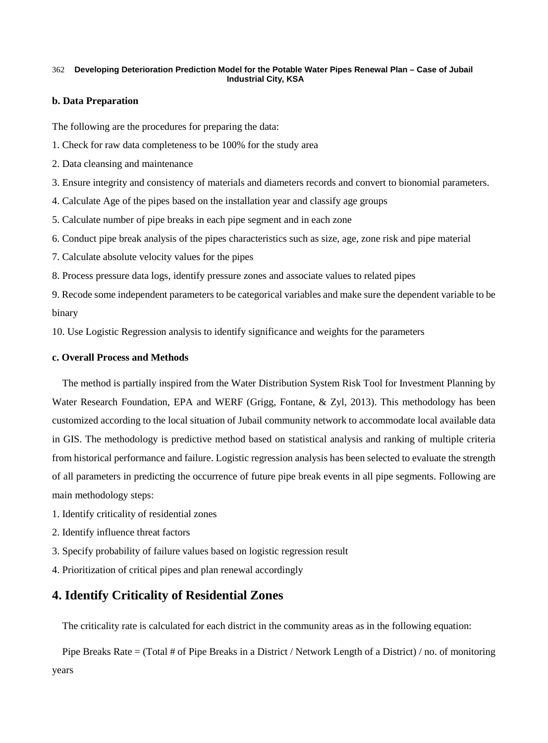### **b. Data Preparation**

The following are the procedures for preparing the data:

- 1. Check for raw data completeness to be 100% for the study area
- 2. Data cleansing and maintenance
- 3. Ensure integrity and consistency of materials and diameters records and convert to bionomial parameters.
- 4. Calculate Age of the pipes based on the installation year and classify age groups
- 5. Calculate number of pipe breaks in each pipe segment and in each zone
- 6. Conduct pipe break analysis of the pipes characteristics such as size, age, zone risk and pipe material
- 7. Calculate absolute velocity values for the pipes
- 8. Process pressure data logs, identify pressure zones and associate values to related pipes

9. Recode some independent parameters to be categorical variables and make sure the dependent variable to be binary

10. Use Logistic Regression analysis to identify significance and weights for the parameters

### **c. Overall Process and Methods**

The method is partially inspired from the Water Distribution System Risk Tool for Investment Planning by Water Research Foundation, EPA and WERF (Grigg, Fontane, & Zyl, 2013). This methodology has been customized according to the local situation of Jubail community network to accommodate local available data in GIS. The methodology is predictive method based on statistical analysis and ranking of multiple criteria from historical performance and failure. Logistic regression analysis has been selected to evaluate the strength of all parameters in predicting the occurrence of future pipe break events in all pipe segments. Following are main methodology steps:

- 1. Identify criticality of residential zones
- 2. Identify influence threat factors
- 3. Specify probability of failure values based on logistic regression result
- 4. Prioritization of critical pipes and plan renewal accordingly

# **4. Identify Criticality of Residential Zones**

The criticality rate is calculated for each district in the community areas as in the following equation:

Pipe Breaks Rate = (Total # of Pipe Breaks in a District / Network Length of a District) / no. of monitoring years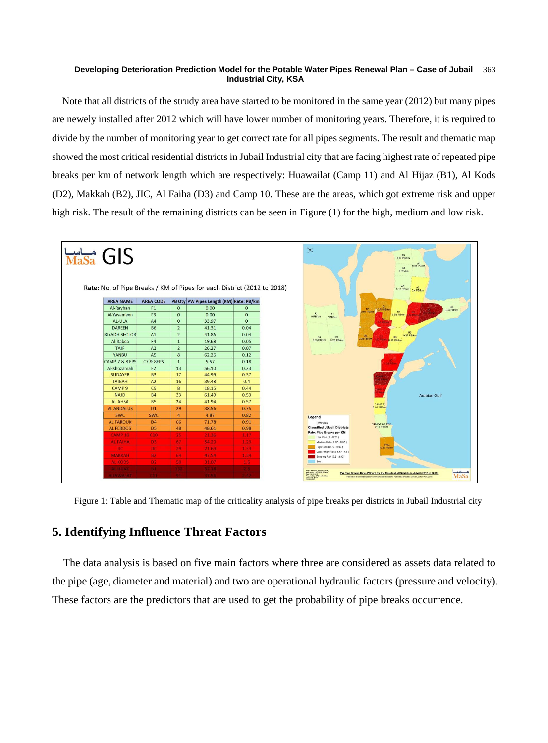Note that all districts of the strudy area have started to be monitored in the same year (2012) but many pipes are newely installed after 2012 which will have lower number of monitoring years. Therefore, it is required to divide by the number of monitoring year to get correct rate for all pipes segments. The result and thematic map showed the most critical residential districts in Jubail Industrial city that are facing highest rate of repeated pipe breaks per km of network length which are respectively: Huawailat (Camp 11) and Al Hijaz (B1), Al Kods (D2), Makkah (B2), JIC, Al Faiha (D3) and Camp 10. These are the areas, which got extreme risk and upper high risk. The result of the remaining districts can be seen in Figure (1) for the high, medium and low risk.



Figure 1: Table and Thematic map of the criticality analysis of pipe breaks per districts in Jubail Industrial city

# **5. Identifying Influence Threat Factors**

The data analysis is based on five main factors where three are considered as assets data related to the pipe (age, diameter and material) and two are operational hydraulic factors (pressure and velocity). These factors are the predictors that are used to get the probability of pipe breaks occurrence.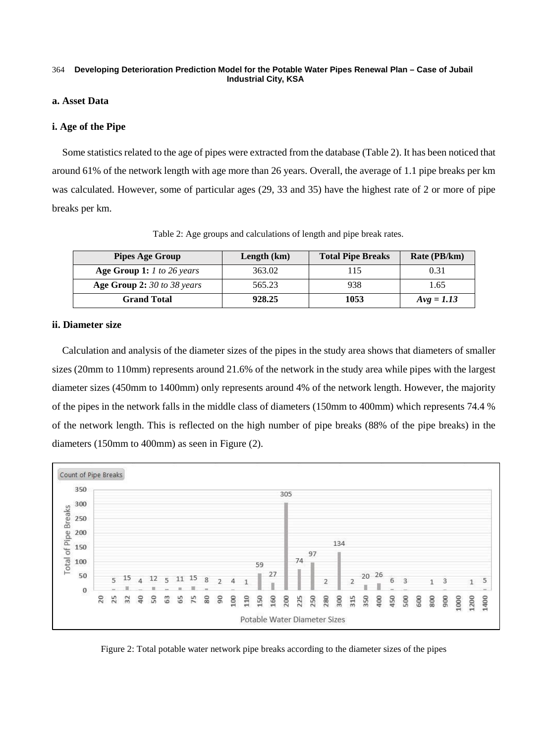### **a. Asset Data**

### **i. Age of the Pipe**

Some statistics related to the age of pipes were extracted from the database (Table 2). It has been noticed that around 61% of the network length with age more than 26 years. Overall, the average of 1.1 pipe breaks per km was calculated. However, some of particular ages (29, 33 and 35) have the highest rate of 2 or more of pipe breaks per km.

| <b>Pipes Age Group</b>      | Length $(km)$ | <b>Total Pipe Breaks</b> | Rate (PB/km) |
|-----------------------------|---------------|--------------------------|--------------|
| Age Group 1: 1 to 26 years  | 363.02        | 115                      | 0.31         |
| Age Group 2: 30 to 38 years | 565.23        | 938                      | 1.65         |
| <b>Grand Total</b>          | 928.25        | 1053                     | $Avg = 1.13$ |

Table 2: Age groups and calculations of length and pipe break rates.

### **ii. Diameter size**

Calculation and analysis of the diameter sizes of the pipes in the study area shows that diameters of smaller sizes (20mm to 110mm) represents around 21.6% of the network in the study area while pipes with the largest diameter sizes (450mm to 1400mm) only represents around 4% of the network length. However, the majority of the pipes in the network falls in the middle class of diameters (150mm to 400mm) which represents 74.4 % of the network length. This is reflected on the high number of pipe breaks (88% of the pipe breaks) in the diameters (150mm to 400mm) as seen in Figure (2).



Figure 2: Total potable water network pipe breaks according to the diameter sizes of the pipes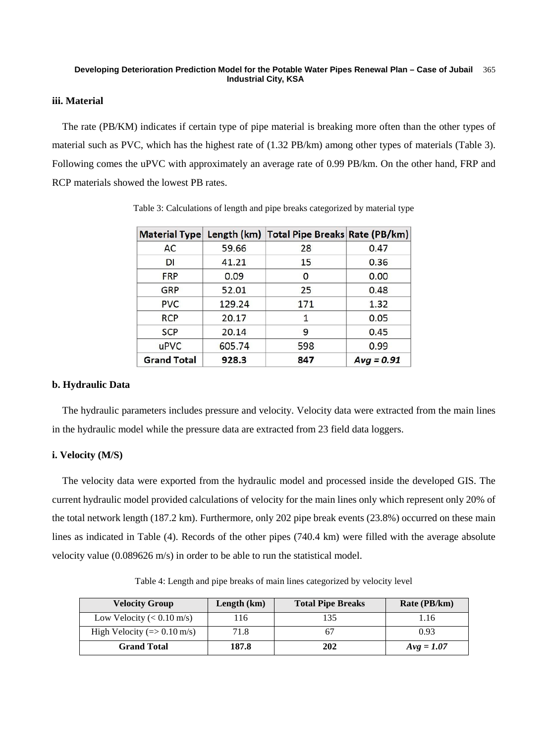### **iii. Material**

The rate (PB/KM) indicates if certain type of pipe material is breaking more often than the other types of material such as PVC, which has the highest rate of (1.32 PB/km) among other types of materials (Table 3). Following comes the uPVC with approximately an average rate of 0.99 PB/km. On the other hand, FRP and RCP materials showed the lowest PB rates.

| <b>Material Type</b> |        | Length (km) Total Pipe Breaks Rate (PB/km) |              |
|----------------------|--------|--------------------------------------------|--------------|
| AC                   | 59.66  | 28                                         | 0.47         |
| DI                   | 41.21  | 15                                         | 0.36         |
| <b>FRP</b>           | 0.09   | 0                                          | 0.00         |
| GRP                  | 52.01  | 25                                         | 0.48         |
| <b>PVC</b>           | 129.24 | 171                                        | 1.32         |
| <b>RCP</b>           | 20.17  | 1                                          | 0.05         |
| <b>SCP</b>           | 20.14  | 9                                          | 0.45         |
| uPVC                 | 605.74 | 598                                        | 0.99         |
| <b>Grand Total</b>   | 928.3  | 847                                        | $Avg = 0.91$ |

Table 3: Calculations of length and pipe breaks categorized by material type

### **b. Hydraulic Data**

The hydraulic parameters includes pressure and velocity. Velocity data were extracted from the main lines in the hydraulic model while the pressure data are extracted from 23 field data loggers.

### **i. Velocity (M/S)**

The velocity data were exported from the hydraulic model and processed inside the developed GIS. The current hydraulic model provided calculations of velocity for the main lines only which represent only 20% of the total network length (187.2 km). Furthermore, only 202 pipe break events (23.8%) occurred on these main lines as indicated in Table (4). Records of the other pipes (740.4 km) were filled with the average absolute velocity value (0.089626 m/s) in order to be able to run the statistical model.

**Velocity Group Length**  $(km)$  **Total Pipe Breaks Rate**  $(PB/km)$ Low Velocity  $( $0.10 \text{ m/s}$ )$  116 135 1.16 High Velocity (=>  $0.10 \text{ m/s}$ )  $71.8$  67 0.93 **Grand Total 187.8 202** *Avg = 1.07*

Table 4: Length and pipe breaks of main lines categorized by velocity level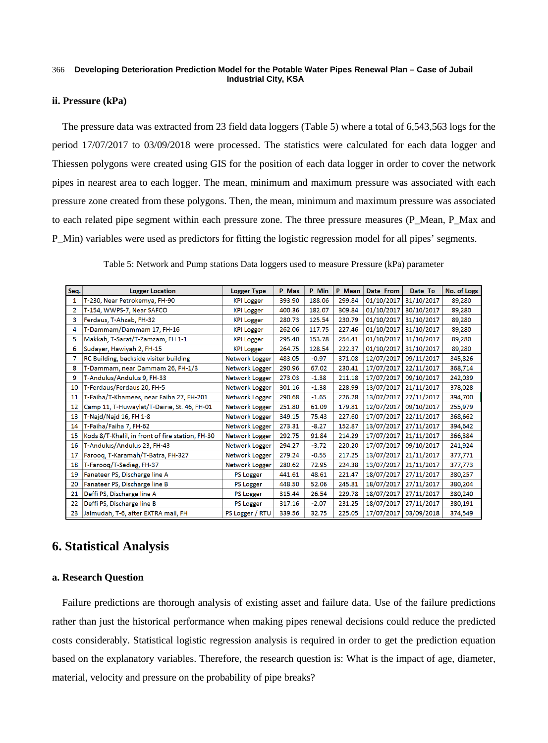### **ii. Pressure (kPa)**

The pressure data was extracted from 23 field data loggers (Table 5) where a total of 6,543,563 logs for the period 17/07/2017 to 03/09/2018 were processed. The statistics were calculated for each data logger and Thiessen polygons were created using GIS for the position of each data logger in order to cover the network pipes in nearest area to each logger. The mean, minimum and maximum pressure was associated with each pressure zone created from these polygons. Then, the mean, minimum and maximum pressure was associated to each related pipe segment within each pressure zone. The three pressure measures (P\_Mean, P\_Max and P\_Min) variables were used as predictors for fitting the logistic regression model for all pipes' segments.

| Seq.           | <b>Logger Location</b>                           | <b>Logger Type</b> | P_Max  | P_Min   | P Mean | Date_From  | Date_To    | No. of Logs |
|----------------|--------------------------------------------------|--------------------|--------|---------|--------|------------|------------|-------------|
| 1              | T-230, Near Petrokemya, FH-90                    | <b>KPI Logger</b>  | 393.90 | 188.06  | 299.84 | 01/10/2017 | 31/10/2017 | 89,280      |
| $\overline{2}$ | T-154, WWPS-7, Near SAFCO                        | <b>KPI Logger</b>  | 400.36 | 182.07  | 309.84 | 01/10/2017 | 30/10/2017 | 89,280      |
| 3              | Ferdaus, T-Ahzab, FH-32                          | <b>KPI Logger</b>  | 280.73 | 125.54  | 230.79 | 01/10/2017 | 31/10/2017 | 89,280      |
| 4              | T-Dammam/Dammam 17, FH-16                        | <b>KPI Logger</b>  | 262.06 | 117.75  | 227.46 | 01/10/2017 | 31/10/2017 | 89,280      |
| 5              | Makkah, T-Sarat/T-Zamzam, FH 1-1                 | <b>KPI Logger</b>  | 295.40 | 153.78  | 254.41 | 01/10/2017 | 31/10/2017 | 89,280      |
| 6              | Sudayer, Hawiyah 2, FH-15                        | <b>KPI Logger</b>  | 264.75 | 128.54  | 222.37 | 01/10/2017 | 31/10/2017 | 89,280      |
| 7              | RC Building, backside visiter building           | Network Logger     | 483.05 | $-0.97$ | 371.08 | 12/07/2017 | 09/11/2017 | 345,826     |
| 8              | T-Dammam, near Dammam 26, FH-1/3                 | Network Logger     | 290.96 | 67.02   | 230.41 | 17/07/2017 | 22/11/2017 | 368,714     |
| 9              | T-Andulus/Andulus 9, FH-33                       | Network Logger     | 273.03 | $-1.38$ | 211.18 | 17/07/2017 | 09/10/2017 | 242,039     |
| 10             | T-Ferdaus/Ferdaus 20, FH-5                       | Network Logger     | 301.16 | $-1.38$ | 228.99 | 13/07/2017 | 21/11/2017 | 378,028     |
| 11             | T-Faiha/T-Khamees, near Faiha 27, FH-201         | Network Logger     | 290.68 | $-1.65$ | 226.28 | 13/07/2017 | 27/11/2017 | 394,700     |
| 12             | Camp 11, T-Huwaylat/T-Dairie, St. 46, FH-01      | Network Logger     | 251.80 | 61.09   | 179.81 | 12/07/2017 | 09/10/2017 | 255,979     |
| 13             | T-Najd/Najd 16, FH 1-8                           | Network Logger     | 349.15 | 75.43   | 227.60 | 17/07/2017 | 22/11/2017 | 368,662     |
| 14             | T-Faiha/Faiha 7, FH-62                           | Network Logger     | 273.31 | $-8.27$ | 152.87 | 13/07/2017 | 27/11/2017 | 394,642     |
| 15             | Kods 8/T-Khalil, in front of fire station, FH-30 | Network Logger     | 292.75 | 91.84   | 214.29 | 17/07/2017 | 21/11/2017 | 366,384     |
| 16             | T-Andulus/Andulus 23, FH-43                      | Network Logger     | 294.27 | $-3.72$ | 220.20 | 17/07/2017 | 09/10/2017 | 241,924     |
| 17             | Farooq, T-Karamah/T-Batra, FH-327                | Network Logger     | 279.24 | $-0.55$ | 217.25 | 13/07/2017 | 21/11/2017 | 377,771     |
| 18             | T-Farooq/T-Sedieg, FH-37                         | Network Logger     | 280.62 | 72.95   | 224.38 | 13/07/2017 | 21/11/2017 | 377,773     |
| 19             | Fanateer PS, Discharge line A                    | PS Logger          | 441.61 | 48.61   | 221.47 | 18/07/2017 | 27/11/2017 | 380,257     |
| 20             | Fanateer PS, Discharge line B                    | PS Logger          | 448.50 | 52.06   | 245.81 | 18/07/2017 | 27/11/2017 | 380,204     |
| 21             | Deffi PS, Discharge line A                       | PS Logger          | 315.44 | 26.54   | 229.78 | 18/07/2017 | 27/11/2017 | 380,240     |
| 22             | Deffi PS, Discharge line B                       | PS Logger          | 317.16 | $-2.07$ | 231.25 | 18/07/2017 | 27/11/2017 | 380,191     |
| 23             | Jalmudah, T-6, after EXTRA mall, FH              | PS Logger / RTU    | 339.56 | 32.75   | 225.05 | 17/07/2017 | 03/09/2018 | 374,549     |

Table 5: Network and Pump stations Data loggers used to measure Pressure (kPa) parameter

# **6. Statistical Analysis**

### **a. Research Question**

Failure predictions are thorough analysis of existing asset and failure data. Use of the failure predictions rather than just the historical performance when making pipes renewal decisions could reduce the predicted costs considerably. Statistical logistic regression analysis is required in order to get the prediction equation based on the explanatory variables. Therefore, the research question is: What is the impact of age, diameter, material, velocity and pressure on the probability of pipe breaks?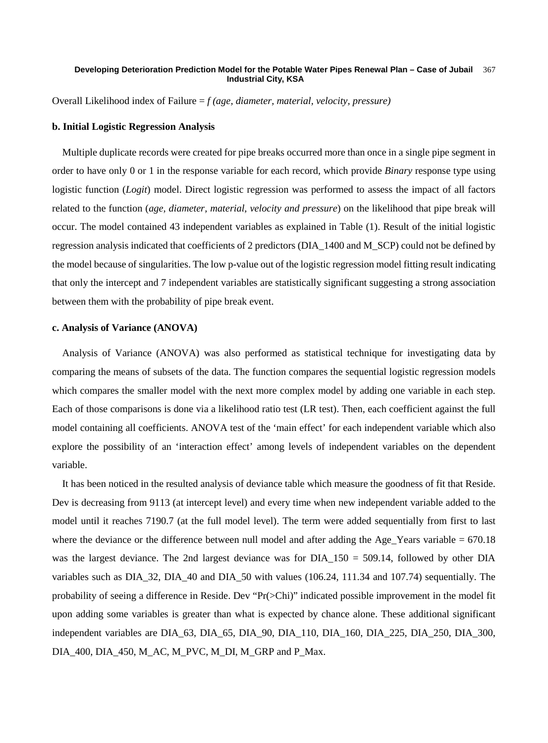Overall Likelihood index of Failure = *f (age, diameter, material, velocity, pressure)*

### **b. Initial Logistic Regression Analysis**

Multiple duplicate records were created for pipe breaks occurred more than once in a single pipe segment in order to have only 0 or 1 in the response variable for each record, which provide *Binary* response type using logistic function (*Logit*) model. Direct logistic regression was performed to assess the impact of all factors related to the function (*age, diameter, material, velocity and pressure*) on the likelihood that pipe break will occur. The model contained 43 independent variables as explained in Table (1). Result of the initial logistic regression analysis indicated that coefficients of 2 predictors (DIA\_1400 and M\_SCP) could not be defined by the model because of singularities. The low p-value out of the logistic regression model fitting result indicating that only the intercept and 7 independent variables are statistically significant suggesting a strong association between them with the probability of pipe break event.

### **c. Analysis of Variance (ANOVA)**

Analysis of Variance (ANOVA) was also performed as statistical technique for investigating data by comparing the means of subsets of the data. The function compares the sequential logistic regression models which compares the smaller model with the next more complex model by adding one variable in each step. Each of those comparisons is done via a likelihood ratio test (LR test). Then, each coefficient against the full model containing all coefficients. ANOVA test of the 'main effect' for each independent variable which also explore the possibility of an 'interaction effect' among levels of independent variables on the dependent variable.

It has been noticed in the resulted analysis of deviance table which measure the goodness of fit that Reside. Dev is decreasing from 9113 (at intercept level) and every time when new independent variable added to the model until it reaches 7190.7 (at the full model level). The term were added sequentially from first to last where the deviance or the difference between null model and after adding the Age. Years variable  $= 670.18$ was the largest deviance. The 2nd largest deviance was for  $DIA_{150} = 509.14$ , followed by other DIA variables such as DIA\_32, DIA\_40 and DIA\_50 with values (106.24, 111.34 and 107.74) sequentially. The probability of seeing a difference in Reside. Dev "Pr(>Chi)" indicated possible improvement in the model fit upon adding some variables is greater than what is expected by chance alone. These additional significant independent variables are DIA\_63, DIA\_65, DIA\_90, DIA\_110, DIA\_160, DIA\_225, DIA\_250, DIA\_300, DIA\_400, DIA\_450, M\_AC, M\_PVC, M\_DI, M\_GRP and P\_Max.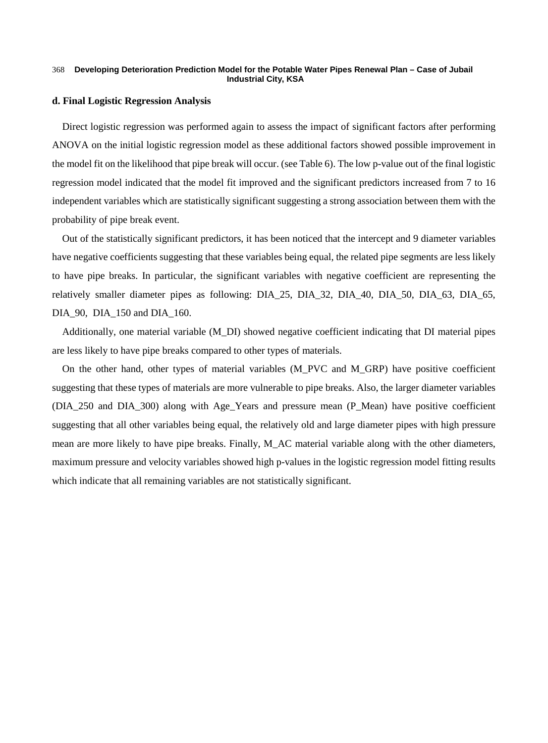### **d. Final Logistic Regression Analysis**

Direct logistic regression was performed again to assess the impact of significant factors after performing ANOVA on the initial logistic regression model as these additional factors showed possible improvement in the model fit on the likelihood that pipe break will occur. (see Table 6). The low p-value out of the final logistic regression model indicated that the model fit improved and the significant predictors increased from 7 to 16 independent variables which are statistically significant suggesting a strong association between them with the probability of pipe break event.

Out of the statistically significant predictors, it has been noticed that the intercept and 9 diameter variables have negative coefficients suggesting that these variables being equal, the related pipe segments are less likely to have pipe breaks. In particular, the significant variables with negative coefficient are representing the relatively smaller diameter pipes as following: DIA\_25, DIA\_32, DIA\_40, DIA\_50, DIA\_63, DIA\_65, DIA 90, DIA 150 and DIA 160.

Additionally, one material variable (M\_DI) showed negative coefficient indicating that DI material pipes are less likely to have pipe breaks compared to other types of materials.

On the other hand, other types of material variables (M\_PVC and M\_GRP) have positive coefficient suggesting that these types of materials are more vulnerable to pipe breaks. Also, the larger diameter variables (DIA\_250 and DIA\_300) along with Age\_Years and pressure mean (P\_Mean) have positive coefficient suggesting that all other variables being equal, the relatively old and large diameter pipes with high pressure mean are more likely to have pipe breaks. Finally, M\_AC material variable along with the other diameters, maximum pressure and velocity variables showed high p-values in the logistic regression model fitting results which indicate that all remaining variables are not statistically significant.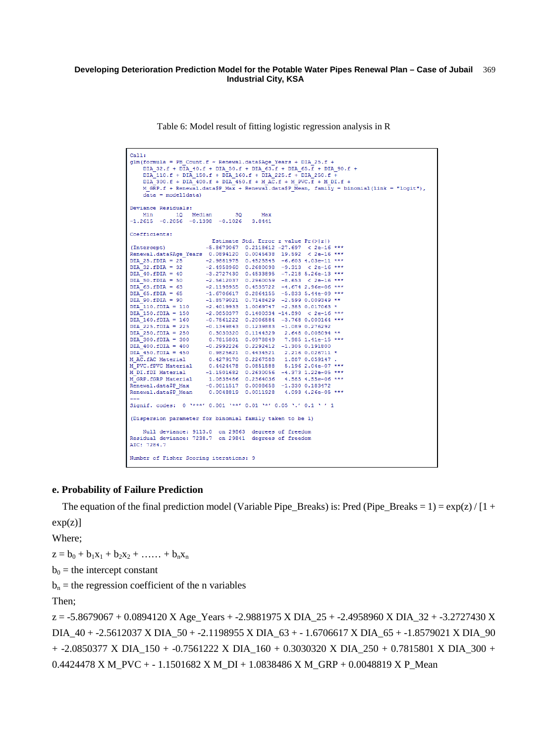Table 6: Model result of fitting logistic regression analysis in R

| Call:<br>$qlm(formula = PB Count.f ~ Renewal.data$ SAqe Years + DIA 25.f +<br>DIA 32.f + DIA 40.f + DIA 50.f + DIA 63.f + DIA 65.f + DIA 90.f +<br>DIA 110.f + DIA 150.f + DIA 160.f + DIA 225.f + DIA 250.f +<br>DIA 300.f + DIA 400.f + DIA 450.f + M AC.f + M PVC.f + M DI.f +<br>M GRP.f + Renewal.data\$P Max + Renewal.data\$P Mean, family = binomial(link = "logit"),<br>$data = model1data)$ |                                                                                                                                                                                                                                                                                                                                                     |  |  |  |
|-------------------------------------------------------------------------------------------------------------------------------------------------------------------------------------------------------------------------------------------------------------------------------------------------------------------------------------------------------------------------------------------------------|-----------------------------------------------------------------------------------------------------------------------------------------------------------------------------------------------------------------------------------------------------------------------------------------------------------------------------------------------------|--|--|--|
| Deviance Residuals:                                                                                                                                                                                                                                                                                                                                                                                   | Min 10 Median 30 Max                                                                                                                                                                                                                                                                                                                                |  |  |  |
| $-1.2615 -0.2056 -0.1398 -0.1026$ 3.8441                                                                                                                                                                                                                                                                                                                                                              |                                                                                                                                                                                                                                                                                                                                                     |  |  |  |
| Coefficients:                                                                                                                                                                                                                                                                                                                                                                                         |                                                                                                                                                                                                                                                                                                                                                     |  |  |  |
|                                                                                                                                                                                                                                                                                                                                                                                                       | Estimate Std. Error z value $Pr(>  z )$                                                                                                                                                                                                                                                                                                             |  |  |  |
|                                                                                                                                                                                                                                                                                                                                                                                                       | (Intercept) $-5.8679067$ 0.2118612 -27.697 < 2e-16 ***                                                                                                                                                                                                                                                                                              |  |  |  |
|                                                                                                                                                                                                                                                                                                                                                                                                       | Renewal.data\$Age Years 0.0894120 0.0045638 19.592 < 2e-16 ***                                                                                                                                                                                                                                                                                      |  |  |  |
|                                                                                                                                                                                                                                                                                                                                                                                                       | DIA_25.fDIA = 25 -2.9881975 0.4525545 -6.603 4.03e-11 ***                                                                                                                                                                                                                                                                                           |  |  |  |
|                                                                                                                                                                                                                                                                                                                                                                                                       |                                                                                                                                                                                                                                                                                                                                                     |  |  |  |
|                                                                                                                                                                                                                                                                                                                                                                                                       | $\begin{array}{lllllllllllllll} \texttt{DIA}^{\top}32.\texttt{fDIA} = 32 & \texttt{-2.4958960} & 0.2680098 & \texttt{-9.313} & < 2\texttt{e-16} \texttt{***}\\ \texttt{DIA}^{\top}40.\texttt{fDIA} = 40 & \texttt{-3.2727430} & 0.4533895 & \texttt{-7.218} \texttt{5.26e-13} \texttt{***} \end{array}$                                             |  |  |  |
|                                                                                                                                                                                                                                                                                                                                                                                                       |                                                                                                                                                                                                                                                                                                                                                     |  |  |  |
|                                                                                                                                                                                                                                                                                                                                                                                                       | $\begin{array}{lllllllllllll} \texttt{DIA} = 50. & \texttt{--2.5612037} & 0.2960059 & -8.653 & < 2\texttt{e--16} & \texttt{***} \\ \texttt{DIA} = 63. & -2.1198955 & 0.4535722 & -4.674 & 2.96\texttt{e--06} & \texttt{***} \end{array}$                                                                                                            |  |  |  |
|                                                                                                                                                                                                                                                                                                                                                                                                       | DIA 65. FDIA = 65 $-1.6706617$ 0.2864155 $-5.833$ 5.44e-09 ***                                                                                                                                                                                                                                                                                      |  |  |  |
| $DIA$ <sup>-90</sup> .fDIA = 90                                                                                                                                                                                                                                                                                                                                                                       | $-1.8579021$ 0.7148429 -2.599 0.009349 **                                                                                                                                                                                                                                                                                                           |  |  |  |
|                                                                                                                                                                                                                                                                                                                                                                                                       | DIA 110. FDIA = 110 -2.4019933 1.0069747 -2.385 0.017063 *                                                                                                                                                                                                                                                                                          |  |  |  |
|                                                                                                                                                                                                                                                                                                                                                                                                       |                                                                                                                                                                                                                                                                                                                                                     |  |  |  |
|                                                                                                                                                                                                                                                                                                                                                                                                       |                                                                                                                                                                                                                                                                                                                                                     |  |  |  |
|                                                                                                                                                                                                                                                                                                                                                                                                       |                                                                                                                                                                                                                                                                                                                                                     |  |  |  |
|                                                                                                                                                                                                                                                                                                                                                                                                       |                                                                                                                                                                                                                                                                                                                                                     |  |  |  |
|                                                                                                                                                                                                                                                                                                                                                                                                       |                                                                                                                                                                                                                                                                                                                                                     |  |  |  |
|                                                                                                                                                                                                                                                                                                                                                                                                       |                                                                                                                                                                                                                                                                                                                                                     |  |  |  |
|                                                                                                                                                                                                                                                                                                                                                                                                       |                                                                                                                                                                                                                                                                                                                                                     |  |  |  |
|                                                                                                                                                                                                                                                                                                                                                                                                       | $\begin{tabular}{lllllllllll} \texttt{DIA} & 450.\,\texttt{fDLA} & = & 450 & 0.9825621 & 0.4434521 & 2.216 & 0.026711 & \texttt{\texttt{M}} \\ \texttt{M} & \texttt{AC}.~\texttt{fAC} & \texttt{Material} & 0.4279170 & 0.2267588 & 1.887 & 0.059147 \\ \texttt{M\_PVC}.~\texttt{fPVC} & \texttt{Material} & 0.4424478 & 0.0851588 & 5.196 & 2.04e$ |  |  |  |
|                                                                                                                                                                                                                                                                                                                                                                                                       |                                                                                                                                                                                                                                                                                                                                                     |  |  |  |
|                                                                                                                                                                                                                                                                                                                                                                                                       | $\begin{array}{lllll} \textbf{M}^\top\textbf{D1}, \textbf{fDI} \text{ Material} & -1.1501682 & 0.2630056 & -4.373 \text{ } 1.22\text{e}-05 \text{ }*** \\ \textbf{M\_GRP}, \textbf{fGRP} \text{ Material} & 1.0838486 & 0.2364036 & 4.585 \text{ } 4.55\text{e}-06 \text{ }*** \end{array}$                                                         |  |  |  |
|                                                                                                                                                                                                                                                                                                                                                                                                       |                                                                                                                                                                                                                                                                                                                                                     |  |  |  |
|                                                                                                                                                                                                                                                                                                                                                                                                       | Renewal.data\$P_Max -0.0011517 0.0008658 -1.330 0.183472<br>Renewal.data\$P_Mean 0.0048819 0.0011928 4.093 4.26e-05 ***                                                                                                                                                                                                                             |  |  |  |
| $---$                                                                                                                                                                                                                                                                                                                                                                                                 |                                                                                                                                                                                                                                                                                                                                                     |  |  |  |
|                                                                                                                                                                                                                                                                                                                                                                                                       | Signif. codes: 0 '***' 0.001 '**' 0.01 '*' 0.05 '.' 0.1 ' ' 1                                                                                                                                                                                                                                                                                       |  |  |  |
| (Dispersion parameter for binomial family taken to be 1)                                                                                                                                                                                                                                                                                                                                              |                                                                                                                                                                                                                                                                                                                                                     |  |  |  |
|                                                                                                                                                                                                                                                                                                                                                                                                       | Null deviance: 9113.0 on 29863 degrees of freedom                                                                                                                                                                                                                                                                                                   |  |  |  |
| Residual deviance: 7238.7 on 29841 degrees of freedom                                                                                                                                                                                                                                                                                                                                                 |                                                                                                                                                                                                                                                                                                                                                     |  |  |  |
| AIC: 7284.7                                                                                                                                                                                                                                                                                                                                                                                           |                                                                                                                                                                                                                                                                                                                                                     |  |  |  |
| Number of Fisher Scoring iterations: 9                                                                                                                                                                                                                                                                                                                                                                |                                                                                                                                                                                                                                                                                                                                                     |  |  |  |

### **e. Probability of Failure Prediction**

The equation of the final prediction model (Variable Pipe\_Breaks) is: Pred (Pipe\_Breaks = 1) =  $\exp(z) / [1 +$  $exp(z)]$ 

Where;

 $z = b_0 + b_1x_1 + b_2x_2 + \ldots + b_nx_n$ 

 $b_0$  = the intercept constant

 $b_n$  = the regression coefficient of the n variables

Then;

z = -5.8679067 + 0.0894120 X Age\_Years + -2.9881975 X DIA\_25 + -2.4958960 X DIA\_32 + -3.2727430 X DIA\_40 + -2.5612037 X DIA\_50 + -2.1198955 X DIA\_63 + - 1.6706617 X DIA\_65 + -1.8579021 X DIA\_90 + -2.0850377 X DIA\_150 + -0.7561222 X DIA\_160 + 0.3030320 X DIA\_250 + 0.7815801 X DIA\_300 + 0.4424478 X M\_PVC + - 1.1501682 X M\_DI + 1.0838486 X M\_GRP + 0.0048819 X P\_Mean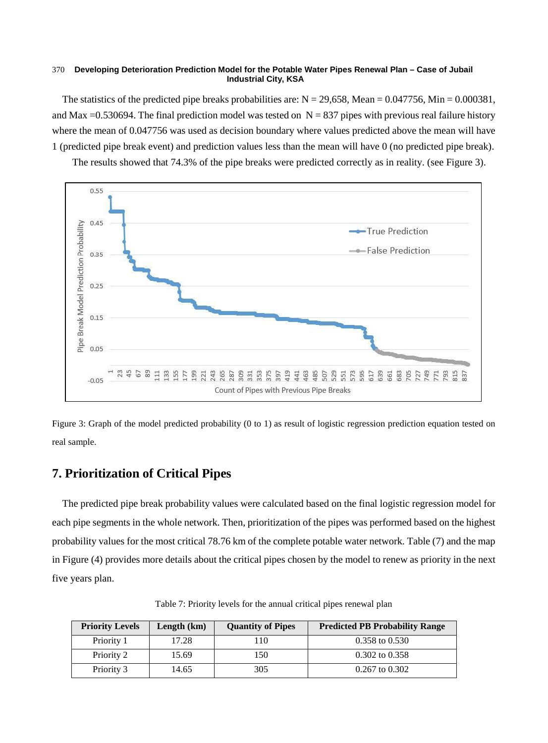The statistics of the predicted pipe breaks probabilities are:  $N = 29,658$ , Mean = 0.047756, Min = 0.000381, and Max =0.530694. The final prediction model was tested on  $N = 837$  pipes with previous real failure history where the mean of 0.047756 was used as decision boundary where values predicted above the mean will have 1 (predicted pipe break event) and prediction values less than the mean will have 0 (no predicted pipe break).

The results showed that 74.3% of the pipe breaks were predicted correctly as in reality. (see Figure 3).



Figure 3: Graph of the model predicted probability (0 to 1) as result of logistic regression prediction equation tested on real sample.

# **7. Prioritization of Critical Pipes**

The predicted pipe break probability values were calculated based on the final logistic regression model for each pipe segments in the whole network. Then, prioritization of the pipes was performed based on the highest probability values for the most critical 78.76 km of the complete potable water network. Table (7) and the map in Figure (4) provides more details about the critical pipes chosen by the model to renew as priority in the next five years plan.

| <b>Priority Levels</b> | Length (km) | <b>Quantity of Pipes</b> | <b>Predicted PB Probability Range</b> |
|------------------------|-------------|--------------------------|---------------------------------------|
| Priority 1             | 17.28       | 110                      | $0.358$ to $0.530$                    |
| Priority 2             | 15.69       | 150                      | $0.302$ to $0.358$                    |
| Priority 3             | 14.65       | 305                      | $0.267$ to $0.302$                    |

Table 7: Priority levels for the annual critical pipes renewal plan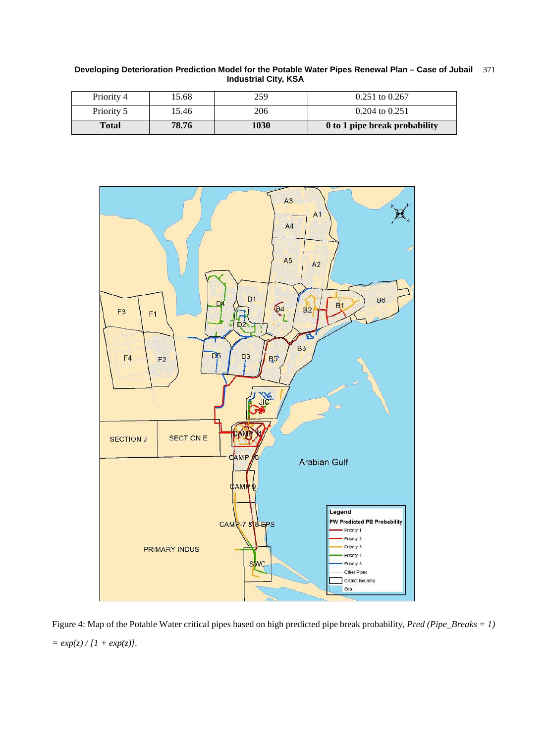**Developing Deterioration Prediction Model for the Potable Water Pipes Renewal Plan – Case of Jubail Industrial City, KSA** 371

| Total      | 78.76 | 1030 | 0 to 1 pipe break probability |
|------------|-------|------|-------------------------------|
| Priority 5 | 15.46 | 206  | $0.204$ to $0.251$            |
| Priority 4 | 15.68 | 259  | $0.251$ to $0.267$            |



Figure 4: Map of the Potable Water critical pipes based on high predicted pipe break probability, *Pred (Pipe\_Breaks = 1) = exp(z) / [1 + exp(z)].*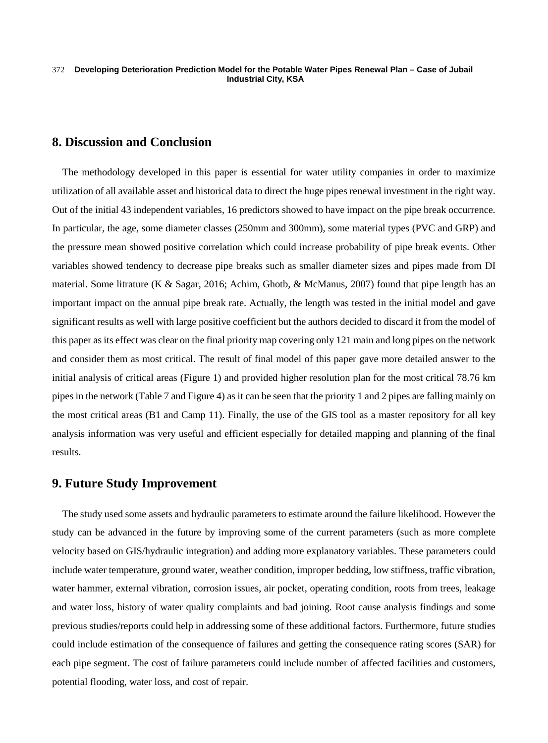### **8. Discussion and Conclusion**

The methodology developed in this paper is essential for water utility companies in order to maximize utilization of all available asset and historical data to direct the huge pipes renewal investment in the right way. Out of the initial 43 independent variables, 16 predictors showed to have impact on the pipe break occurrence. In particular, the age, some diameter classes (250mm and 300mm), some material types (PVC and GRP) and the pressure mean showed positive correlation which could increase probability of pipe break events. Other variables showed tendency to decrease pipe breaks such as smaller diameter sizes and pipes made from DI material. Some litrature (K & Sagar, 2016; Achim, Ghotb, & McManus, 2007) found that pipe length has an important impact on the annual pipe break rate. Actually, the length was tested in the initial model and gave significant results as well with large positive coefficient but the authors decided to discard it from the model of this paper as its effect was clear on the final priority map covering only 121 main and long pipes on the network and consider them as most critical. The result of final model of this paper gave more detailed answer to the initial analysis of critical areas (Figure 1) and provided higher resolution plan for the most critical 78.76 km pipes in the network (Table 7 and Figure 4) as it can be seen that the priority 1 and 2 pipes are falling mainly on the most critical areas (B1 and Camp 11). Finally, the use of the GIS tool as a master repository for all key analysis information was very useful and efficient especially for detailed mapping and planning of the final results.

# **9. Future Study Improvement**

The study used some assets and hydraulic parameters to estimate around the failure likelihood. However the study can be advanced in the future by improving some of the current parameters (such as more complete velocity based on GIS/hydraulic integration) and adding more explanatory variables. These parameters could include water temperature, ground water, weather condition, improper bedding, low stiffness, traffic vibration, water hammer, external vibration, corrosion issues, air pocket, operating condition, roots from trees, leakage and water loss, history of water quality complaints and bad joining. Root cause analysis findings and some previous studies/reports could help in addressing some of these additional factors. Furthermore, future studies could include estimation of the consequence of failures and getting the consequence rating scores (SAR) for each pipe segment. The cost of failure parameters could include number of affected facilities and customers, potential flooding, water loss, and cost of repair.